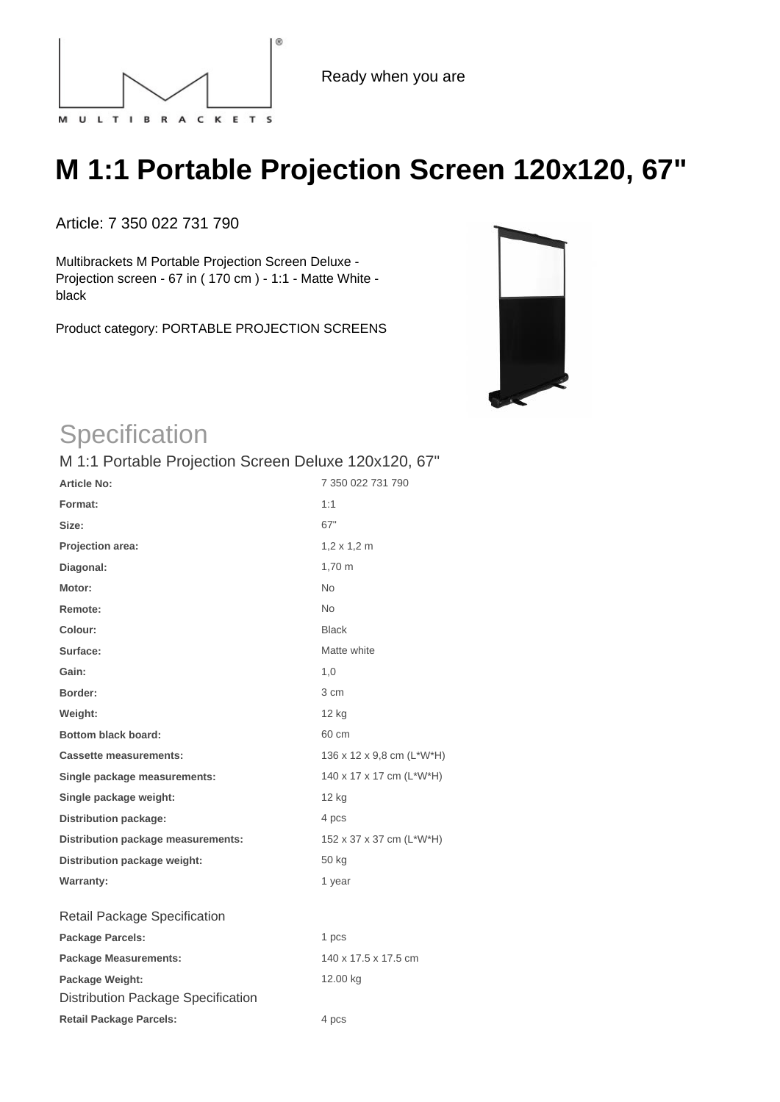

Ready when you are

## **M 1:1 Portable Projection Screen 120x120, 67"**

Article: 7 350 022 731 790

Multibrackets M Portable Projection Screen Deluxe - Projection screen - 67 in ( 170 cm ) - 1:1 - Matte White black

Product category: PORTABLE PROJECTION SCREENS



## **Specification**

## M 1:1 Portable Projection Screen Deluxe 120x120, 67"

| <b>Article No:</b>                        | 7 350 022 731 790          |
|-------------------------------------------|----------------------------|
| Format:                                   | 1:1                        |
| Size:                                     | 67"                        |
| Projection area:                          | $1,2 \times 1,2 \text{ m}$ |
| Diagonal:                                 | 1,70 m                     |
| Motor:                                    | <b>No</b>                  |
| Remote:                                   | <b>No</b>                  |
| Colour:                                   | <b>Black</b>               |
| Surface:                                  | Matte white                |
| Gain:                                     | 1,0                        |
| Border:                                   | 3 cm                       |
| Weight:                                   | 12 kg                      |
| <b>Bottom black board:</b>                | 60 cm                      |
| <b>Cassette measurements:</b>             | 136 x 12 x 9,8 cm (L*W*H)  |
| Single package measurements:              | 140 x 17 x 17 cm (L*W*H)   |
| Single package weight:                    | 12 <sub>kg</sub>           |
| <b>Distribution package:</b>              | 4 pcs                      |
| Distribution package measurements:        | 152 x 37 x 37 cm (L*W*H)   |
| Distribution package weight:              | 50 kg                      |
| <b>Warranty:</b>                          | 1 year                     |
| Retail Package Specification              |                            |
| <b>Package Parcels:</b>                   | 1 pcs                      |
| <b>Package Measurements:</b>              | 140 x 17.5 x 17.5 cm       |
| Package Weight:                           | 12.00 kg                   |
| <b>Distribution Package Specification</b> |                            |
| <b>Retail Package Parcels:</b>            | 4 pcs                      |
|                                           |                            |